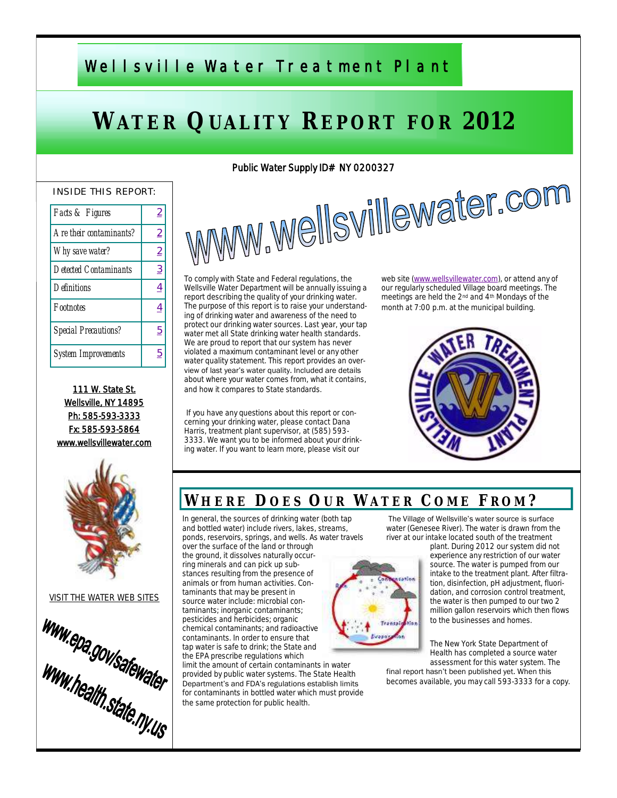# Wells ville Water Treatment Plant

# **WATER QUALITY REPORT FOR 2012**

#### INSIDE THIS REPORT:

| Facts & Figures         | 2              |
|-------------------------|----------------|
| Are their contaminants? | $\overline{2}$ |
| Why save water?         | 2              |
| Detected Contaminants   | 3              |
| Definitions             | <u>4</u>       |
| Footnotes               |                |
| Special Precautions?    | 5              |
| System Improvements     | 5              |

111 W. State St. Wellsville, NY 14895 Ph: 585-593-3333 Fx: 585-593-5864 www.wellsvillewater.com



VISIT THE WATER WEB SITES



Public Water Supply ID# NY 0200327<br>WWWW.WellSVIIIeWater.com To comply with State and Federal regulations, the Wellsville Water Department will be annually issuing a report describing the quality of your drinking water. The purpose of this report is to raise your understanding of drinking water and awareness of the need to protect our drinking water sources. Last year, your tap water met all State drinking water health standards. We are proud to report that our system has never violated a maximum contaminant level or any other

water quality statement. This report provides an overview of last year's water quality. Included are details about where your water comes from, what it contains, and how it compares to State standards.

If you have any questions about this report or concerning your drinking water, please contact Dana Harris, treatment plant supervisor, at (585) 593-3333. We want you to be informed about your drinking water. If you want to learn more, please visit our

web site [\(www.wellsvillewater.com\),](http://www.wellsvillewater.com/) or attend any of our regularly scheduled Village board meetings. The meetings are held the 2nd and 4th Mondays of the month at 7:00 p.m. at the municipal building.



## **WH E R E D O E S OU R WA T E R C O M E FR O M ?**

In general, the sources of drinking water (both tap and bottled water) include rivers, lakes, streams, ponds, reservoirs, springs, and wells. As water travels

over the surface of the land or through the ground, it dissolves naturally occurring minerals and can pick up substances resulting from the presence of animals or from human activities. Contaminants that may be present in taminants; inorganic contaminants; pesticides and herbicides; organic chemical contaminants; and radioactive contaminants. In order to ensure that tap water is safe to drink; the State and the EPA prescribe regulations which

limit the amount of certain contaminants in water provided by public water systems. The State Health Department's and FDA's regulations establish limits for contaminants in bottled water which must provide the same protection for public health.

The Village of Wellsville's water source is surface water (Genesee River). The water is drawn from the river at our intake located south of the treatment

> plant. During 2012 our system did not experience any restriction of our water source. The water is pumped from our intake to the treatment plant. After filtration, disinfection, pH adjustment, fluoridation, and corrosion control treatment, the water is then pumped to our two 2 million gallon reservoirs which then flows to the businesses and homes.

The New York State Department of Health has completed a source water assessment for this water system. The

final report hasn't been published yet. When this becomes available, you may call 593-3333 for a copy.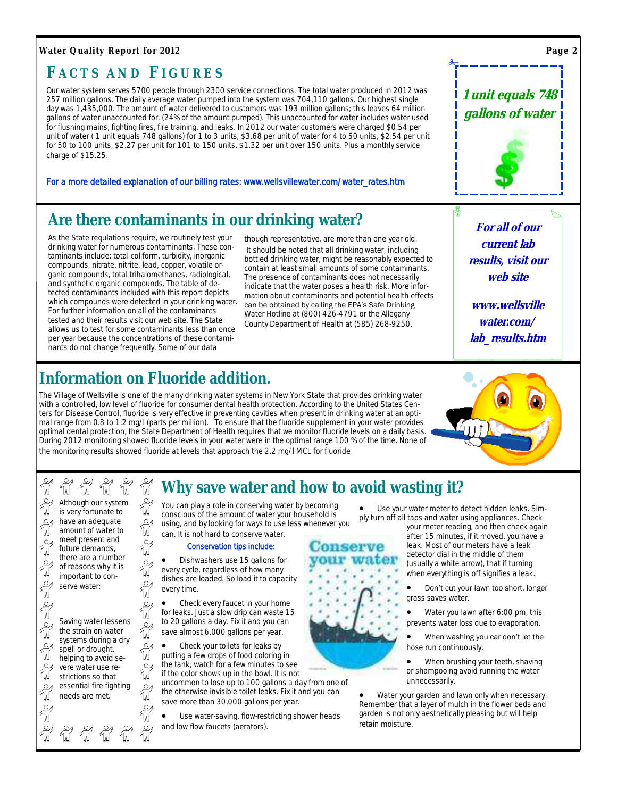#### <span id="page-1-0"></span>**Water Quality Report for 2012**

## **F A C T S A N D FI G U R E S**

Our water system serves 5700 people through 2300 service connections. The total water produced in 2012 was 257 million gallons. The daily average water pumped into the system was 704,110 gallons. Our highest single day was 1,435,000. The amount of water delivered to customers was 193 million gallons; this leaves 64 million gallons of water unaccounted for. (24% of the amount pumped). This unaccounted for water includes water used for flushing mains, fighting fires, fire training, and leaks. In 2012 our water customers were charged \$0.54 per unit of water (1 unit equals 748 gallons) for 1 to 3 units, \$3.68 per unit of water for 4 to 50 units, \$2.54 per unit for 50 to 100 units, \$2.27 per unit for 101 to 150 units, \$1.32 per unit over 150 units. Plus a monthly service charge of \$15.25.

For a more detailed explanation of our billing rates: www.wellsvillewater.com/water\_rates.htm

## **Are there contaminants in our drinking water?**

As the State regulations require, we routinely test your drinking water for numerous contaminants. These contaminants include: total coliform, turbidity, inorganic compounds, nitrate, nitrite, lead, copper, volatile organic compounds, total trihalomethanes, radiological, and synthetic organic compounds. The table of detected contaminants included with this report depicts which compounds were detected in your drinking water. For further information on all of the contaminants tested and their results visit our web site. The State allows us to test for some contaminants less than once per year because the concentrations of these contaminants do not change frequently. Some of our data

though representative, are more than one year old. It should be noted that all drinking water, including bottled drinking water, might be reasonably expected to contain at least small amounts of some contaminants. The presence of contaminants does not necessarily indicate that the water poses a health risk. More information about contaminants and potential health effects can be obtained by calling the EPA's Safe Drinking Water Hotline at (800) 426-4791 or the Allegany County Department of Health at (585) 268-9250.

**For all of our current lab results, visit our web site**

**www.wellsville water.com/ lab\_results.htm**

# **Information on Fluoride addition.**

**TA** 

W<br>W  $\sum_{i=1}^{n} \sum_{j=1}^{n}$ 

**TA** 

W,

 $\frac{1}{2}$ 

₩

The Village of Wellsville is one of the many drinking water systems in New York State that provides drinking water with a controlled, low level of fluoride for consumer dental health protection. According to the United States Centers for Disease Control, fluoride is very effective in preventing cavities when present in drinking water at an optimal range from 0.8 to 1.2 mg/l (parts per million). To ensure that the fluoride supplement in your water provides optimal dental protection, the State Department of Health requires that we monitor fluoride levels on a daily basis. During 2012 monitoring showed fluoride levels in your water were in the optimal range 100 % of the time. None of the monitoring results showed fluoride at levels that approach the 2.2 mg/l MCL for fluoride



#### $\frac{1}{2}$  $\gamma_{\rm M}^{\rm O}$ M ₩ นี้  $\mathcal{Q}_A$ Although our system  $\frac{1}{2}$ is very fortunate to have an adequate ا∕⊇ amount of water to meet present and  $\circ$ future demands, there are a number  $\Omega$ of reasons why it is important to con- $\frac{1}{2}$ serve water: n<br>W

ันไ

๚

๚

๚

 $\Omega$ นี n<br>W

 $\frac{1}{\sqrt{2}}$ 

W

Saving water lessens the strain on water systems during a dry spell or drought, helping to avoid severe water use restrictions so that essential fire fighting needs are met.

**W** W W W

## **Why save water and how to avoid wasting it?**

You can play a role in conserving water by becoming conscious of the amount of water your household is using, and by looking for ways to use less whenever you can. It is not hard to conserve water.

#### Conservation tips include:

 Dishwashers use 15 gallons for every cycle, regardless of how many dishes are loaded. So load it to capacity every time.

 Check every faucet in your home for leaks. Just a slow drip can waste 15 to 20 gallons a day. Fix it and you can save almost 6,000 gallons per year.

 Check your toilets for leaks by putting a few drops of food coloring in the tank, watch for a few minutes to see if the color shows up in the bowl. It is not

uncommon to lose up to 100 gallons a day from one of the otherwise invisible toilet leaks. Fix it and you can save more than 30,000 gallons per year.

 Use water-saving, flow-restricting shower heads and low flow faucets (aerators).

 Use your water meter to detect hidden leaks. Simply turn off all taps and water using appliances. Check

your meter reading, and then check again after 15 minutes, if it moved, you have a leak. Most of our meters have a leak detector dial in the middle of them (usually a white arrow), that if turning when everything is off signifies a leak.

 Don't cut your lawn too short, longer grass saves water.

 Water you lawn after 6:00 pm, this prevents water loss due to evaporation.

 When washing you car don't let the hose run continuously.

 When brushing your teeth, shaving or shampooing avoid running the water unnecessarily.

 Water your garden and lawn only when necessary. Remember that a layer of mulch in the flower beds and garden is not only aesthetically pleasing but will help retain moisture.

**Page 2**



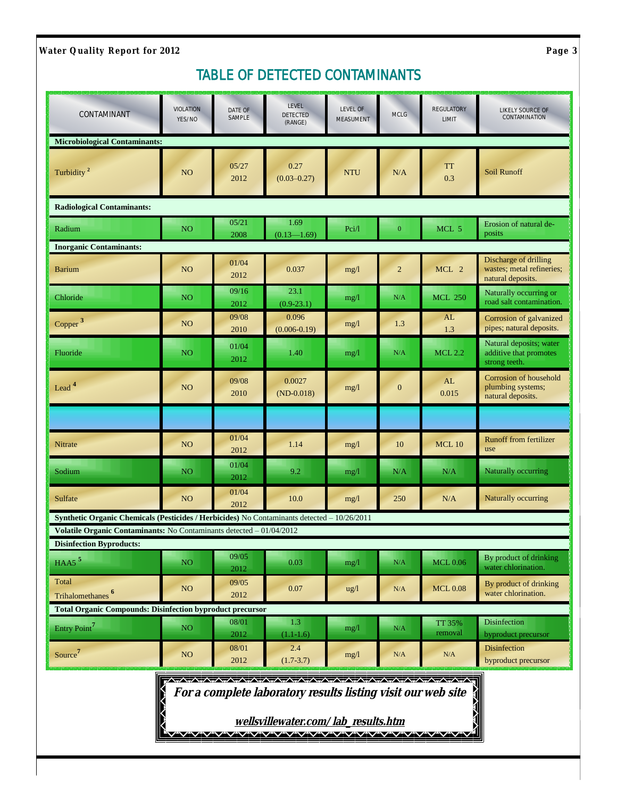<span id="page-2-0"></span>**Water Quality Report for 2012 Page 3** 

## *TABLE OF DETECTED CONTAMINANTS*

| CONTAMINANT                                                                                             | <b>VIOLATION</b><br>YES/NO | DATE OF<br>SAMPLE | LEVEL<br>DETECTED<br>(RANGE)                                                                                                                 | LEVEL OF<br><b>MEASUMENT</b> | MCLG             | <b>REGULATORY</b><br>LIMIT | LIKELY SOURCE OF<br>CONTAMINATION                                       |
|---------------------------------------------------------------------------------------------------------|----------------------------|-------------------|----------------------------------------------------------------------------------------------------------------------------------------------|------------------------------|------------------|----------------------------|-------------------------------------------------------------------------|
| <b>Microbiological Contaminants:</b>                                                                    |                            |                   |                                                                                                                                              |                              |                  |                            |                                                                         |
| Turbidity <sup>2</sup>                                                                                  | NO <sub>1</sub>            | 05/27<br>2012     | 0.27<br>$(0.03 - 0.27)$                                                                                                                      | <b>NTU</b>                   | N/A              | <b>TT</b><br>0.3           | <b>Soil Runoff</b>                                                      |
| <b>Radiological Contaminants:</b>                                                                       |                            |                   |                                                                                                                                              |                              |                  |                            |                                                                         |
| Radium                                                                                                  | NO <sub>1</sub>            | 05/21<br>2008     | 1.69<br>$(0.13 - 1.69)$                                                                                                                      | Pci/l                        | $\boldsymbol{0}$ | MCL 5                      | Erosion of natural de-<br>posits                                        |
| <b>Inorganic Contaminants:</b>                                                                          |                            |                   |                                                                                                                                              |                              |                  |                            |                                                                         |
| <b>Barium</b>                                                                                           | NO <sub>1</sub>            | 01/04<br>2012     | 0.037                                                                                                                                        | mg/1                         | $\overline{2}$   | MCL 2                      | Discharge of drilling<br>wastes; metal refineries;<br>natural deposits. |
| Chloride                                                                                                | NO                         | 09/16<br>2012     | 23.1<br>$(0.9-23.1)$                                                                                                                         | mg/l                         | N/A              | <b>MCL 250</b>             | Naturally occurring or<br>road salt contamination.                      |
| Copper <sup>3</sup>                                                                                     | NO <sub>1</sub>            | 09/08<br>2010     | 0.096<br>$(0.006 - 0.19)$                                                                                                                    | mg/1                         | 1.3              | AL<br>1.3                  | Corrosion of galvanized<br>pipes; natural deposits.                     |
| Fluoride                                                                                                | NO <sub>1</sub>            | 01/04<br>2012     | 1.40                                                                                                                                         | mg/1                         | N/A              | <b>MCL 2.2</b>             | Natural deposits; water<br>additive that promotes<br>strong teeth.      |
| Lead <sup>4</sup>                                                                                       | NO <sub>1</sub>            | 09/08<br>2010     | 0.0027<br>$(ND-0.018)$                                                                                                                       | mg/1                         | $\boldsymbol{0}$ | AL<br>0.015                | Corrosion of household<br>plumbing systems;<br>natural deposits.        |
|                                                                                                         |                            |                   |                                                                                                                                              |                              |                  |                            |                                                                         |
| Nitrate                                                                                                 | NO <sub>1</sub>            | 01/04<br>2012     | 1.14                                                                                                                                         | mg/l                         | 10               | <b>MCL 10</b>              | <b>Runoff from fertilizer</b><br>use                                    |
| Sodium                                                                                                  | NO <sub>1</sub>            | 01/04<br>2012     | 9.2                                                                                                                                          | mg/1                         | N/A              | N/A                        | Naturally occurring                                                     |
| Sulfate                                                                                                 | NO <sub>1</sub>            | 01/04<br>2012     | 10.0                                                                                                                                         | mg/1                         | 250              | N/A                        | Naturally occurring                                                     |
| Synthetic Organic Chemicals (Pesticides / Herbicides) No Contaminants detected - 10/26/2011             |                            |                   |                                                                                                                                              |                              |                  |                            |                                                                         |
| Volatile Organic Contaminants: No Contaminants detected - 01/04/2012<br><b>Disinfection Byproducts:</b> |                            |                   |                                                                                                                                              |                              |                  |                            |                                                                         |
| $HAA5$ <sup>5</sup>                                                                                     | NO <sub>1</sub>            | 09/05<br>2012     | 0.03                                                                                                                                         | mg/1                         | N/A              | <b>MCL 0.06</b>            | By product of drinking<br>water chlorination.                           |
| Total<br>Trihalomethanes <sup>6</sup>                                                                   | <b>NO</b>                  | 09/05<br>2012     | 0.07                                                                                                                                         | $\frac{u g}{l}$              | N/A              | <b>MCL0.08</b>             | By product of drinking<br>water chlorination.                           |
| <b>Total Organic Compounds: Disinfection byproduct precursor</b>                                        |                            |                   |                                                                                                                                              |                              |                  |                            |                                                                         |
| Entry Point <sup>7</sup>                                                                                | NO <sub>1</sub>            | 08/01<br>2012     | 1.3<br>$(1.1-1.6)$                                                                                                                           | mg/1                         | N/A              | TT 35%<br>removal          | Disinfection<br>byproduct precursor                                     |
| Source <sup>7</sup>                                                                                     | <b>NO</b>                  | 08/01<br>2012     | 2.4<br>$(1.7 - 3.7)$                                                                                                                         | mg/1                         | N/A              | N/A                        | <b>Disinfection</b><br>byproduct precursor                              |
|                                                                                                         |                            |                   | For a complete laboratory results listing visit our web site<br>wellsvillewater.com/lab results.htm<br>V"V"V"V"V"V"V"V"V"V"V"V"V"V"V"V"V"V"V |                              |                  |                            | <b>TANA</b>                                                             |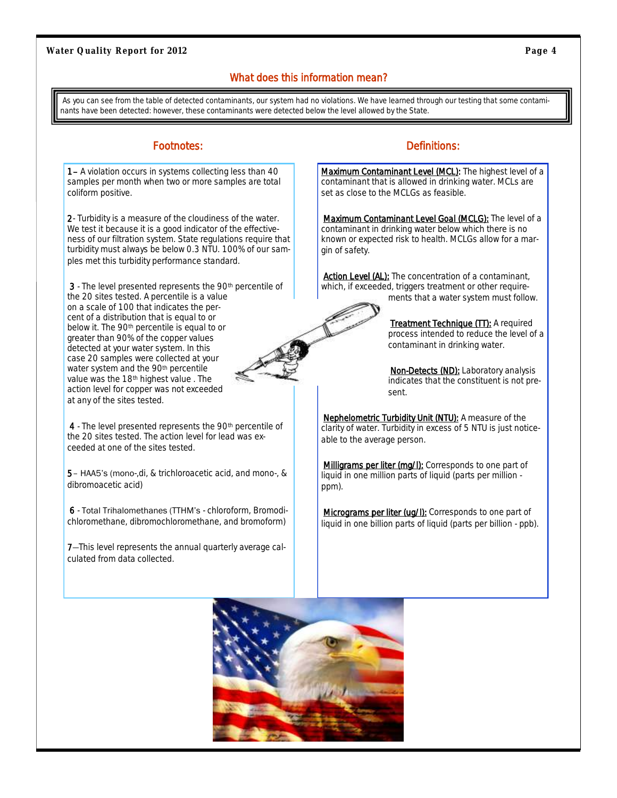#### What does this information mean?

<span id="page-3-0"></span>As you can see from the table of detected contaminants, our system had no violations. We have learned through our testing that some contaminants have been detected: however, these contaminants were detected below the level allowed by the State.

1– A violation occurs in systems collecting less than 40 samples per month when two or more samples are total coliform positive.

2- Turbidity is a measure of the cloudiness of the water. We test it because it is a good indicator of the effectiveness of our filtration system. State regulations require that turbidity must always be below 0.3 NTU. 100% of our samples met this turbidity performance standard.

3 - The level presented represents the 90<sup>th</sup> percentile of the 20 sites tested. A percentile is a value on a scale of 100 that indicates the percent of a distribution that is equal to or below it. The 90th percentile is equal to or greater than 90% of the copper values detected at your water system. In this case 20 samples were collected at your water system and the 90th percentile value was the 18th highest value . The action level for copper was not exceeded at any of the sites tested.

4 - The level presented represents the 90th percentile of the 20 sites tested. The action level for lead was exceeded at one of the sites tested.

5– HAA5's (mono-,di, & trichloroacetic acid, and mono-, & dibromoacetic acid)

6 - Total Trihalomethanes (TTHM's - chloroform, Bromodichloromethane, dibromochloromethane, and bromoform)

7—This level represents the annual quarterly average calculated from data collected.

#### Footnotes: **Definitions:** Provides: **Definitions:**

Maximum Contaminant Level (MCL): The highest level of a contaminant that is allowed in drinking water. MCLs are set as close to the MCLGs as feasible.

*Maximum Contaminant Level Goal* (MCLG): The level of a contaminant in drinking water below which there is no known or expected risk to health. MCLGs allow for a margin of safety.

**Action Level (AL):** The concentration of a contaminant, which, if exceeded, triggers treatment or other requirements that a water system must follow.



*Treatment Technique* (TT): A required process intended to reduce the level of a contaminant in drinking water.

*Non-Detects* (ND): Laboratory analysis indicates that the constituent is not present.

*Nephelometric Turbidity Unit* (NTU): A measure of the clarity of water. Turbidity in excess of 5 NTU is just noticeable to the average person.

**Milligrams per liter (mg/l):** Corresponds to one part of liquid in one million parts of liquid (parts per million ppm).

**Micrograms per liter (ug/l):** Corresponds to one part of liquid in one billion parts of liquid (parts per billion - ppb).